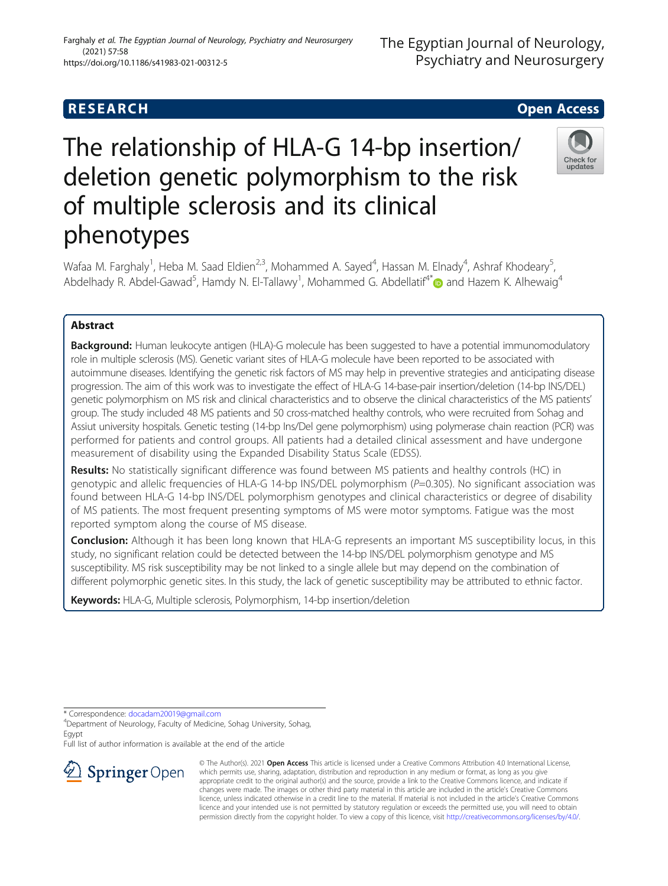# **RESEARCH CHE Open Access**

# The relationship of HLA-G 14-bp insertion/ deletion genetic polymorphism to the risk of multiple sclerosis and its clinical phenotypes

Wafaa M. Farghaly<sup>1</sup>, Heba M. Saad Eldien<sup>2,3</sup>, Mohammed A. Sayed<sup>4</sup>, Hassan M. Elnady<sup>4</sup>, Ashraf Khodeary<sup>5</sup> , Abdelhady R. Abdel-Gawad<sup>5</sup>, Hamdy N. El-Tallawy<sup>1</sup>, Mohammed G. Abdellatif<sup>4[\\*](http://orcid.org/0000-0002-0802-3819)</sup> and Hazem K. Alhewaig<sup>4</sup>

# Abstract

**Background:** Human leukocyte antigen (HLA)-G molecule has been suggested to have a potential immunomodulatory role in multiple sclerosis (MS). Genetic variant sites of HLA-G molecule have been reported to be associated with autoimmune diseases. Identifying the genetic risk factors of MS may help in preventive strategies and anticipating disease progression. The aim of this work was to investigate the effect of HLA-G 14-base-pair insertion/deletion (14-bp INS/DEL) genetic polymorphism on MS risk and clinical characteristics and to observe the clinical characteristics of the MS patients' group. The study included 48 MS patients and 50 cross-matched healthy controls, who were recruited from Sohag and Assiut university hospitals. Genetic testing (14-bp Ins/Del gene polymorphism) using polymerase chain reaction (PCR) was performed for patients and control groups. All patients had a detailed clinical assessment and have undergone measurement of disability using the Expanded Disability Status Scale (EDSS).

Results: No statistically significant difference was found between MS patients and healthy controls (HC) in genotypic and allelic frequencies of HLA-G 14-bp INS/DEL polymorphism (P=0.305). No significant association was found between HLA-G 14-bp INS/DEL polymorphism genotypes and clinical characteristics or degree of disability of MS patients. The most frequent presenting symptoms of MS were motor symptoms. Fatigue was the most reported symptom along the course of MS disease.

**Conclusion:** Although it has been long known that HLA-G represents an important MS susceptibility locus, in this study, no significant relation could be detected between the 14-bp INS/DEL polymorphism genotype and MS susceptibility. MS risk susceptibility may be not linked to a single allele but may depend on the combination of different polymorphic genetic sites. In this study, the lack of genetic susceptibility may be attributed to ethnic factor.

Keywords: HLA-G, Multiple sclerosis, Polymorphism, 14-bp insertion/deletion

\* Correspondence: [docadam20019@gmail.com](mailto:docadam20019@gmail.com) <sup>4</sup>

 $\mathcal{L}$  Springer Open

Department of Neurology, Faculty of Medicine, Sohag University, Sohag, Egypt

Full list of author information is available at the end of the article

© The Author(s). 2021 Open Access This article is licensed under a Creative Commons Attribution 4.0 International License, which permits use, sharing, adaptation, distribution and reproduction in any medium or format, as long as you give appropriate credit to the original author(s) and the source, provide a link to the Creative Commons licence, and indicate if changes were made. The images or other third party material in this article are included in the article's Creative Commons licence, unless indicated otherwise in a credit line to the material. If material is not included in the article's Creative Commons licence and your intended use is not permitted by statutory regulation or exceeds the permitted use, you will need to obtain permission directly from the copyright holder. To view a copy of this licence, visit <http://creativecommons.org/licenses/by/4.0/>.







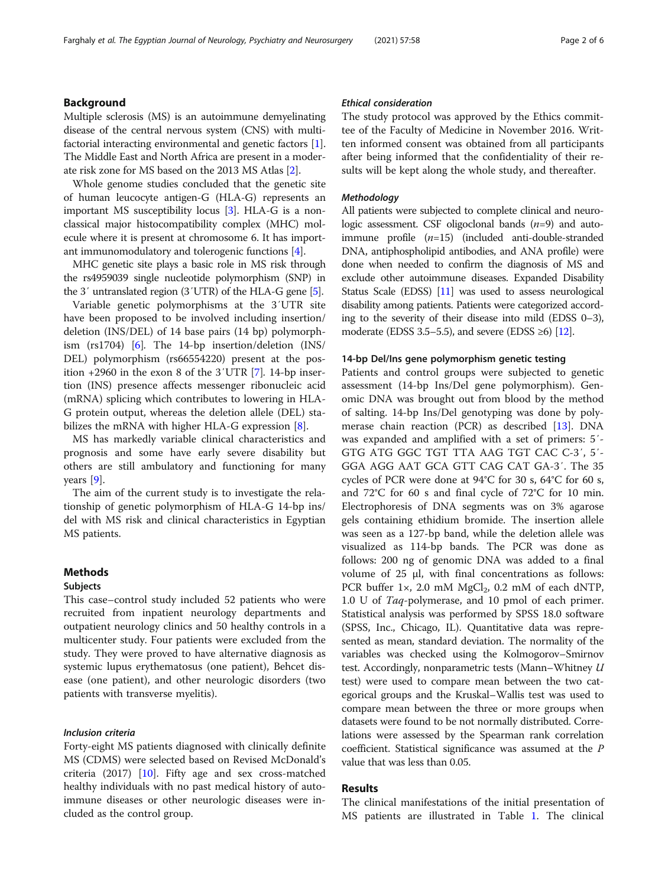# Background

Multiple sclerosis (MS) is an autoimmune demyelinating disease of the central nervous system (CNS) with multifactorial interacting environmental and genetic factors [[1](#page-5-0)]. The Middle East and North Africa are present in a moderate risk zone for MS based on the 2013 MS Atlas [\[2](#page-5-0)].

Whole genome studies concluded that the genetic site of human leucocyte antigen-G (HLA-G) represents an important MS susceptibility locus [\[3](#page-5-0)]. HLA-G is a nonclassical major histocompatibility complex (MHC) molecule where it is present at chromosome 6. It has important immunomodulatory and tolerogenic functions [[4\]](#page-5-0).

MHC genetic site plays a basic role in MS risk through the rs4959039 single nucleotide polymorphism (SNP) in the 3′ untranslated region (3′UTR) of the HLA-G gene [\[5\]](#page-5-0).

Variable genetic polymorphisms at the 3′UTR site have been proposed to be involved including insertion/ deletion (INS/DEL) of 14 base pairs (14 bp) polymorphism (rs1704) [\[6](#page-5-0)]. The 14-bp insertion/deletion (INS/ DEL) polymorphism (rs66554220) present at the position +2960 in the exon 8 of the 3′UTR [[7\]](#page-5-0). 14-bp insertion (INS) presence affects messenger ribonucleic acid (mRNA) splicing which contributes to lowering in HLA-G protein output, whereas the deletion allele (DEL) stabilizes the mRNA with higher HLA-G expression [\[8](#page-5-0)].

MS has markedly variable clinical characteristics and prognosis and some have early severe disability but others are still ambulatory and functioning for many years [\[9](#page-5-0)].

The aim of the current study is to investigate the relationship of genetic polymorphism of HLA-G 14-bp ins/ del with MS risk and clinical characteristics in Egyptian MS patients.

# Methods

# Subjects

This case–control study included 52 patients who were recruited from inpatient neurology departments and outpatient neurology clinics and 50 healthy controls in a multicenter study. Four patients were excluded from the study. They were proved to have alternative diagnosis as systemic lupus erythematosus (one patient), Behcet disease (one patient), and other neurologic disorders (two patients with transverse myelitis).

# Inclusion criteria

Forty-eight MS patients diagnosed with clinically definite MS (CDMS) were selected based on Revised McDonald's criteria (2017) [[10](#page-5-0)]. Fifty age and sex cross-matched healthy individuals with no past medical history of autoimmune diseases or other neurologic diseases were included as the control group.

# Ethical consideration

The study protocol was approved by the Ethics committee of the Faculty of Medicine in November 2016. Written informed consent was obtained from all participants after being informed that the confidentiality of their results will be kept along the whole study, and thereafter.

# **Methodology**

All patients were subjected to complete clinical and neurologic assessment. CSF oligoclonal bands  $(n=9)$  and autoimmune profile  $(n=15)$  (included anti-double-stranded DNA, antiphospholipid antibodies, and ANA profile) were done when needed to confirm the diagnosis of MS and exclude other autoimmune diseases. Expanded Disability Status Scale (EDSS) [[11](#page-5-0)] was used to assess neurological disability among patients. Patients were categorized according to the severity of their disease into mild (EDSS 0–3), moderate (EDSS 3.5–5.5), and severe (EDSS  $\geq 6$ ) [\[12](#page-5-0)].

## 14-bp Del/Ins gene polymorphism genetic testing

Patients and control groups were subjected to genetic assessment (14-bp Ins/Del gene polymorphism). Genomic DNA was brought out from blood by the method of salting. 14-bp Ins/Del genotyping was done by polymerase chain reaction (PCR) as described [\[13](#page-5-0)]. DNA was expanded and amplified with a set of primers: 5′- GTG ATG GGC TGT TTA AAG TGT CAC C-3′, 5′- GGA AGG AAT GCA GTT CAG CAT GA-3′. The 35 cycles of PCR were done at 94°C for 30 s, 64°C for 60 s, and 72°C for 60 s and final cycle of 72°C for 10 min. Electrophoresis of DNA segments was on 3% agarose gels containing ethidium bromide. The insertion allele was seen as a 127-bp band, while the deletion allele was visualized as 114-bp bands. The PCR was done as follows: 200 ng of genomic DNA was added to a final volume of 25 μl, with final concentrations as follows: PCR buffer  $1 \times$ , 2.0 mM MgCl<sub>2</sub>, 0.2 mM of each dNTP, 1.0 U of Taq-polymerase, and 10 pmol of each primer. Statistical analysis was performed by SPSS 18.0 software (SPSS, Inc., Chicago, IL). Quantitative data was represented as mean, standard deviation. The normality of the variables was checked using the Kolmogorov–Smirnov test. Accordingly, nonparametric tests (Mann–Whitney U test) were used to compare mean between the two categorical groups and the Kruskal–Wallis test was used to compare mean between the three or more groups when datasets were found to be not normally distributed. Correlations were assessed by the Spearman rank correlation coefficient. Statistical significance was assumed at the P value that was less than 0.05.

# Results

The clinical manifestations of the initial presentation of MS patients are illustrated in Table [1.](#page-2-0) The clinical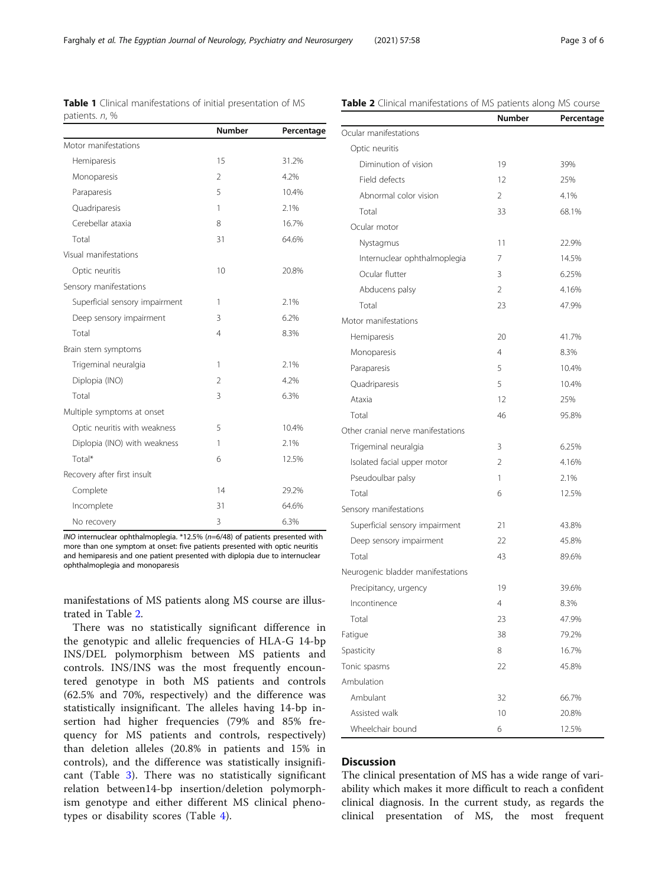<span id="page-2-0"></span>Farghaly et al. The Egyptian Journal of Neurology, Psychiatry and Neurosurgery (2021) 57:58 Page 3 of 6

| patients. n, %                 |               |            |  |
|--------------------------------|---------------|------------|--|
|                                | <b>Number</b> | Percentage |  |
| Motor manifestations           |               |            |  |
| Hemiparesis                    | 15            | 31.2%      |  |
| Monoparesis                    | 2             | 4.2%       |  |
| Paraparesis                    | 5             | 10.4%      |  |
| Quadriparesis                  | 1             | 2.1%       |  |
| Cerebellar ataxia              | 8             | 16.7%      |  |
| Total                          | 31            | 64.6%      |  |
| Visual manifestations          |               |            |  |
| Optic neuritis                 | 10            | 20.8%      |  |
| Sensory manifestations         |               |            |  |
| Superficial sensory impairment | 1             | 2.1%       |  |
| Deep sensory impairment        | 3             | 6.2%       |  |
| Total                          | 4             | 8.3%       |  |
| Brain stem symptoms            |               |            |  |
| Trigeminal neuralgia           | 1             | 2.1%       |  |
| Diplopia (INO)                 | 2             | 4.2%       |  |
| Total                          | 3             | 6.3%       |  |
| Multiple symptoms at onset     |               |            |  |
| Optic neuritis with weakness   | 5             | 10.4%      |  |
| Diplopia (INO) with weakness   | 1             | 2.1%       |  |
| Total*                         | 6             | 12.5%      |  |
| Recovery after first insult    |               |            |  |
| Complete                       | 14            | 29.2%      |  |
| Incomplete                     | 31            | 64.6%      |  |
| No recovery                    | 3             | 6.3%       |  |
| <b>Inches</b>                  | $\epsilon$    |            |  |

Table 1 Clinical manifestations of initial presentation of MS

# Table 2 Clinical manifestations of MS patients along MS course

INO internuclear ophthalmoplegia. \*12.5% (n=6/48) of patients presented with more than one symptom at onset: five patients presented with optic neuritis and hemiparesis and one patient presented with diplopia due to internuclear ophthalmoplegia and monoparesis

manifestations of MS patients along MS course are illustrated in Table 2.

There was no statistically significant difference in the genotypic and allelic frequencies of HLA-G 14-bp INS/DEL polymorphism between MS patients and controls. INS/INS was the most frequently encountered genotype in both MS patients and controls (62.5% and 70%, respectively) and the difference was statistically insignificant. The alleles having 14-bp insertion had higher frequencies (79% and 85% frequency for MS patients and controls, respectively) than deletion alleles (20.8% in patients and 15% in controls), and the difference was statistically insignificant (Table [3](#page-3-0)). There was no statistically significant relation between14-bp insertion/deletion polymorphism genotype and either different MS clinical phenotypes or disability scores (Table [4](#page-3-0)).

|                                    | <b>Number</b>  | Percentage |
|------------------------------------|----------------|------------|
| Ocular manifestations              |                |            |
| Optic neuritis                     |                |            |
| Diminution of vision               | 19             | 39%        |
| Field defects                      | 12             | 25%        |
| Abnormal color vision              | $\overline{2}$ | 4.1%       |
| Total                              | 33             | 68.1%      |
| Ocular motor                       |                |            |
| Nystagmus                          | 11             | 22.9%      |
| Internuclear ophthalmoplegia       | 7              | 14.5%      |
| Ocular flutter                     | 3              | 6.25%      |
| Abducens palsy                     | $\overline{2}$ | 4.16%      |
| Total                              | 23             | 47.9%      |
| Motor manifestations               |                |            |
| Hemiparesis                        | 20             | 41.7%      |
| Monoparesis                        | $\overline{4}$ | 8.3%       |
| Paraparesis                        | 5              | 10.4%      |
| Quadriparesis                      | 5              | 10.4%      |
| Ataxia                             | 12             | 25%        |
| Total                              | 46             | 95.8%      |
| Other cranial nerve manifestations |                |            |
| Trigeminal neuralgia               | 3              | 6.25%      |
| Isolated facial upper motor        | 2              | 4.16%      |
| Pseudoulbar palsy                  | 1              | 2.1%       |
| Total                              | 6              | 12.5%      |
| Sensory manifestations             |                |            |
| Superficial sensory impairment     | 21             | 43.8%      |
| Deep sensory impairment            | 22             | 45.8%      |
| Total                              | 43             | 89.6%      |
| Neurogenic bladder manifestations  |                |            |
| Precipitancy, urgency              | 19             | 39.6%      |
| Incontinence                       | 4              | 8.3%       |
| Total                              | 23             | 47.9%      |
| Fatigue                            | 38             | 79.2%      |
| Spasticity                         | 8              | 16.7%      |
| Tonic spasms                       | 22             | 45.8%      |
| Ambulation                         |                |            |
| Ambulant                           | 32             | 66.7%      |
| Assisted walk                      | 10             | 20.8%      |
| Wheelchair bound                   | 6              | 12.5%      |

# **Discussion**

The clinical presentation of MS has a wide range of variability which makes it more difficult to reach a confident clinical diagnosis. In the current study, as regards the clinical presentation of MS, the most frequent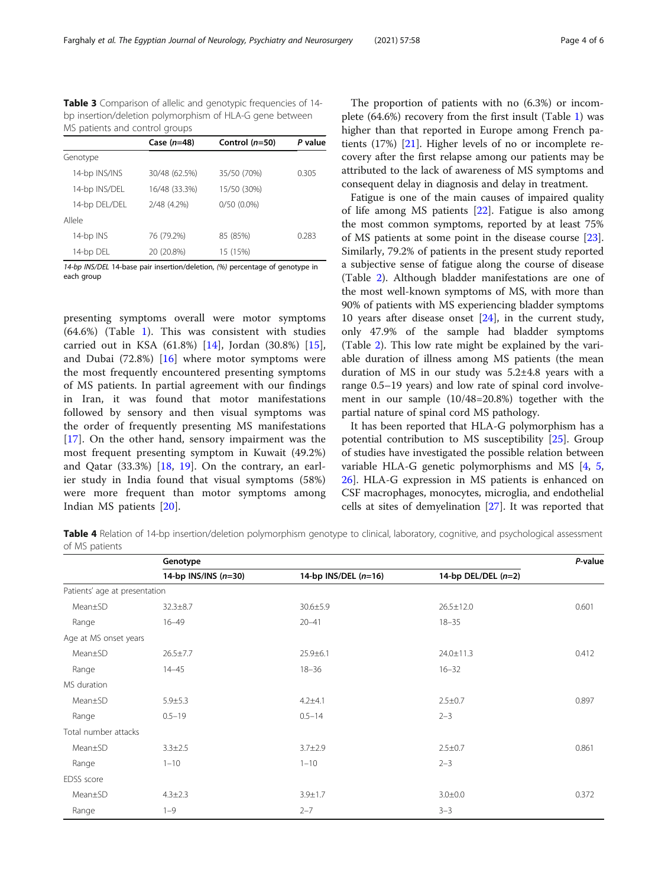<span id="page-3-0"></span>Table 3 Comparison of allelic and genotypic frequencies of 14bp insertion/deletion polymorphism of HLA-G gene between MS patients and control groups

| Case $(n=48)$ | Control $(n=50)$ | P value |
|---------------|------------------|---------|
|               |                  |         |
| 30/48 (62.5%) | 35/50 (70%)      | 0.305   |
| 16/48 (33.3%) | 15/50 (30%)      |         |
| 2/48 (4.2%)   | $0/50(0.0\%)$    |         |
|               |                  |         |
| 76 (79.2%)    | 85 (85%)         | 0.283   |
| 20 (20.8%)    | 15 (15%)         |         |
|               |                  |         |

14-bp INS/DEL 14-base pair insertion/deletion, (%) percentage of genotype in each group

presenting symptoms overall were motor symptoms (64.6%) (Table [1](#page-2-0)). This was consistent with studies carried out in KSA (61.8%) [[14](#page-5-0)], Jordan (30.8%) [\[15](#page-5-0)], and Dubai (72.8%) [\[16](#page-5-0)] where motor symptoms were the most frequently encountered presenting symptoms of MS patients. In partial agreement with our findings in Iran, it was found that motor manifestations followed by sensory and then visual symptoms was the order of frequently presenting MS manifestations [[17\]](#page-5-0). On the other hand, sensory impairment was the most frequent presenting symptom in Kuwait (49.2%) and Qatar (33.3%) [\[18](#page-5-0), [19\]](#page-5-0). On the contrary, an earlier study in India found that visual symptoms (58%) were more frequent than motor symptoms among Indian MS patients [[20\]](#page-5-0).

The proportion of patients with no (6.3%) or incomplete (64.6%) recovery from the first insult (Table [1](#page-2-0)) was higher than that reported in Europe among French patients (17%) [\[21](#page-5-0)]. Higher levels of no or incomplete recovery after the first relapse among our patients may be attributed to the lack of awareness of MS symptoms and consequent delay in diagnosis and delay in treatment.

Fatigue is one of the main causes of impaired quality of life among MS patients [\[22](#page-5-0)]. Fatigue is also among the most common symptoms, reported by at least 75% of MS patients at some point in the disease course [\[23](#page-5-0)]. Similarly, 79.2% of patients in the present study reported a subjective sense of fatigue along the course of disease (Table [2\)](#page-2-0). Although bladder manifestations are one of the most well-known symptoms of MS, with more than 90% of patients with MS experiencing bladder symptoms 10 years after disease onset [\[24\]](#page-5-0), in the current study, only 47.9% of the sample had bladder symptoms (Table [2](#page-2-0)). This low rate might be explained by the variable duration of illness among MS patients (the mean duration of MS in our study was 5.2±4.8 years with a range 0.5–19 years) and low rate of spinal cord involvement in our sample (10/48=20.8%) together with the partial nature of spinal cord MS pathology.

It has been reported that HLA-G polymorphism has a potential contribution to MS susceptibility [\[25](#page-5-0)]. Group of studies have investigated the possible relation between variable HLA-G genetic polymorphisms and MS [[4,](#page-5-0) [5](#page-5-0), [26\]](#page-5-0). HLA-G expression in MS patients is enhanced on CSF macrophages, monocytes, microglia, and endothelial cells at sites of demyelination [[27\]](#page-5-0). It was reported that

Table 4 Relation of 14-bp insertion/deletion polymorphism genotype to clinical, laboratory, cognitive, and psychological assessment of MS patients

|                               | Genotype               |                        |                       | P-value |
|-------------------------------|------------------------|------------------------|-----------------------|---------|
|                               | 14-bp INS/INS $(n=30)$ | 14-bp INS/DEL $(n=16)$ | 14-bp DEL/DEL $(n=2)$ |         |
| Patients' age at presentation |                        |                        |                       |         |
| Mean±SD                       | $32.3 \pm 8.7$         | $30.6 \pm 5.9$         | $26.5 \pm 12.0$       | 0.601   |
| Range                         | $16 - 49$              | $20 - 41$              | $18 - 35$             |         |
| Age at MS onset years         |                        |                        |                       |         |
| Mean±SD                       | $26.5 \pm 7.7$         | $25.9 \pm 6.1$         | 24.0±11.3             | 0.412   |
| Range                         | $14 - 45$              | $18 - 36$              | $16 - 32$             |         |
| MS duration                   |                        |                        |                       |         |
| Mean±SD                       | $5.9 \pm 5.3$          | $4.2 + 4.1$            | $2.5 \pm 0.7$         | 0.897   |
| Range                         | $0.5 - 19$             | $0.5 - 14$             | $2 - 3$               |         |
| Total number attacks          |                        |                        |                       |         |
| Mean±SD                       | $3.3 \pm 2.5$          | $3.7 + 2.9$            | $2.5 \pm 0.7$         | 0.861   |
| Range                         | $1 - 10$               | $1 - 10$               | $2 - 3$               |         |
| <b>EDSS</b> score             |                        |                        |                       |         |
| Mean±SD                       | $4.3 \pm 2.3$          | $3.9 + 1.7$            | $3.0 + 0.0$           | 0.372   |
| Range                         | $1 - 9$                | $2 - 7$                | $3 - 3$               |         |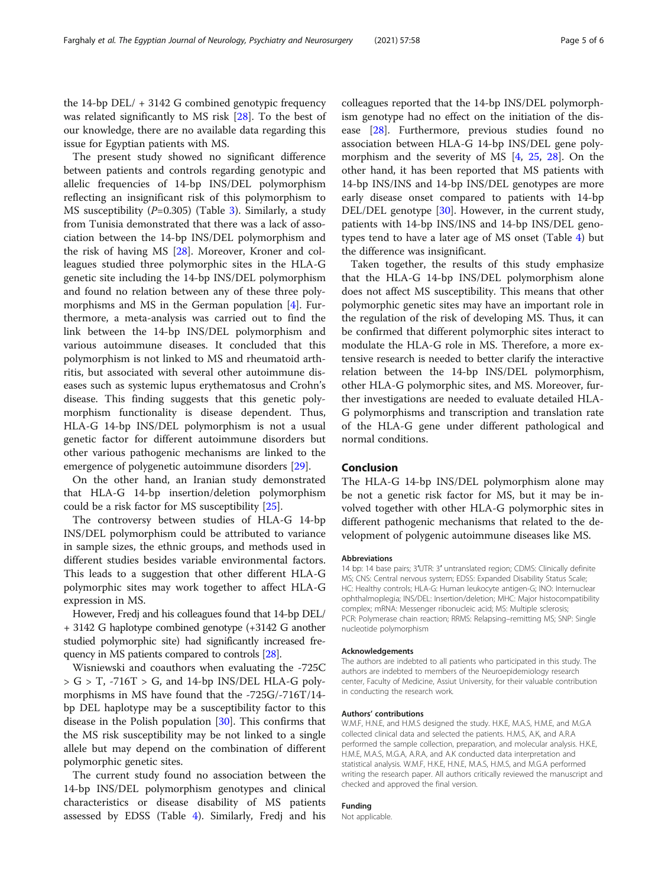the 14-bp DEL/ + 3142 G combined genotypic frequency was related significantly to MS risk [\[28](#page-5-0)]. To the best of our knowledge, there are no available data regarding this issue for Egyptian patients with MS.

The present study showed no significant difference between patients and controls regarding genotypic and allelic frequencies of 14-bp INS/DEL polymorphism reflecting an insignificant risk of this polymorphism to MS susceptibility  $(P=0.305)$  $(P=0.305)$  $(P=0.305)$  (Table 3). Similarly, a study from Tunisia demonstrated that there was a lack of association between the 14-bp INS/DEL polymorphism and the risk of having MS [\[28](#page-5-0)]. Moreover, Kroner and colleagues studied three polymorphic sites in the HLA-G genetic site including the 14-bp INS/DEL polymorphism and found no relation between any of these three polymorphisms and MS in the German population [[4\]](#page-5-0). Furthermore, a meta-analysis was carried out to find the link between the 14-bp INS/DEL polymorphism and various autoimmune diseases. It concluded that this polymorphism is not linked to MS and rheumatoid arthritis, but associated with several other autoimmune diseases such as systemic lupus erythematosus and Crohn's disease. This finding suggests that this genetic polymorphism functionality is disease dependent. Thus, HLA-G 14-bp INS/DEL polymorphism is not a usual genetic factor for different autoimmune disorders but other various pathogenic mechanisms are linked to the emergence of polygenetic autoimmune disorders [\[29](#page-5-0)].

On the other hand, an Iranian study demonstrated that HLA-G 14-bp insertion/deletion polymorphism could be a risk factor for MS susceptibility [\[25](#page-5-0)].

The controversy between studies of HLA-G 14-bp INS/DEL polymorphism could be attributed to variance in sample sizes, the ethnic groups, and methods used in different studies besides variable environmental factors. This leads to a suggestion that other different HLA-G polymorphic sites may work together to affect HLA-G expression in MS.

However, Fredj and his colleagues found that 14-bp DEL/ + 3142 G haplotype combined genotype (+3142 G another studied polymorphic site) had significantly increased frequency in MS patients compared to controls [[28](#page-5-0)].

Wisniewski and coauthors when evaluating the -725C  $>$  G  $>$  T,  $-716$ T  $>$  G, and 14-bp INS/DEL HLA-G polymorphisms in MS have found that the -725G/-716T/14 bp DEL haplotype may be a susceptibility factor to this disease in the Polish population [\[30\]](#page-5-0). This confirms that the MS risk susceptibility may be not linked to a single allele but may depend on the combination of different polymorphic genetic sites.

The current study found no association between the 14-bp INS/DEL polymorphism genotypes and clinical characteristics or disease disability of MS patients assessed by EDSS (Table [4\)](#page-3-0). Similarly, Fredj and his

colleagues reported that the 14-bp INS/DEL polymorphism genotype had no effect on the initiation of the disease [[28\]](#page-5-0). Furthermore, previous studies found no association between HLA-G 14-bp INS/DEL gene polymorphism and the severity of MS [\[4](#page-5-0), [25](#page-5-0), [28\]](#page-5-0). On the other hand, it has been reported that MS patients with 14-bp INS/INS and 14-bp INS/DEL genotypes are more early disease onset compared to patients with 14-bp DEL/DEL genotype [[30\]](#page-5-0). However, in the current study, patients with 14-bp INS/INS and 14-bp INS/DEL genotypes tend to have a later age of MS onset (Table [4](#page-3-0)) but the difference was insignificant.

Taken together, the results of this study emphasize that the HLA-G 14-bp INS/DEL polymorphism alone does not affect MS susceptibility. This means that other polymorphic genetic sites may have an important role in the regulation of the risk of developing MS. Thus, it can be confirmed that different polymorphic sites interact to modulate the HLA-G role in MS. Therefore, a more extensive research is needed to better clarify the interactive relation between the 14-bp INS/DEL polymorphism, other HLA-G polymorphic sites, and MS. Moreover, further investigations are needed to evaluate detailed HLA-G polymorphisms and transcription and translation rate of the HLA-G gene under different pathological and normal conditions.

# Conclusion

The HLA-G 14-bp INS/DEL polymorphism alone may be not a genetic risk factor for MS, but it may be involved together with other HLA-G polymorphic sites in different pathogenic mechanisms that related to the development of polygenic autoimmune diseases like MS.

#### Abbreviations

14 bp: 14 base pairs; 3′UTR: 3′ untranslated region; CDMS: Clinically definite MS; CNS: Central nervous system; EDSS: Expanded Disability Status Scale; HC: Healthy controls; HLA-G: Human leukocyte antigen-G; INO: Internuclear ophthalmoplegia; INS/DEL: Insertion/deletion; MHC: Major histocompatibility complex; mRNA: Messenger ribonucleic acid; MS: Multiple sclerosis; PCR: Polymerase chain reaction; RRMS: Relapsing–remitting MS; SNP: Single nucleotide polymorphism

#### Acknowledgements

The authors are indebted to all patients who participated in this study. The authors are indebted to members of the Neuroepidemiology research center, Faculty of Medicine, Assiut University, for their valuable contribution in conducting the research work.

#### Authors' contributions

W.M.F, H.N.E, and H.M.S designed the study. H.K.E, M.A.S, H.M.E, and M.G.A collected clinical data and selected the patients. H.M.S, A.K, and A.R.A performed the sample collection, preparation, and molecular analysis. H.K.E, H.M.E, M.A.S, M.G.A, A.R.A, and A.K conducted data interpretation and statistical analysis. W.M.F, H.K.E, H.N.E, M.A.S, H.M.S, and M.G.A performed writing the research paper. All authors critically reviewed the manuscript and checked and approved the final version.

# Funding

Not applicable.